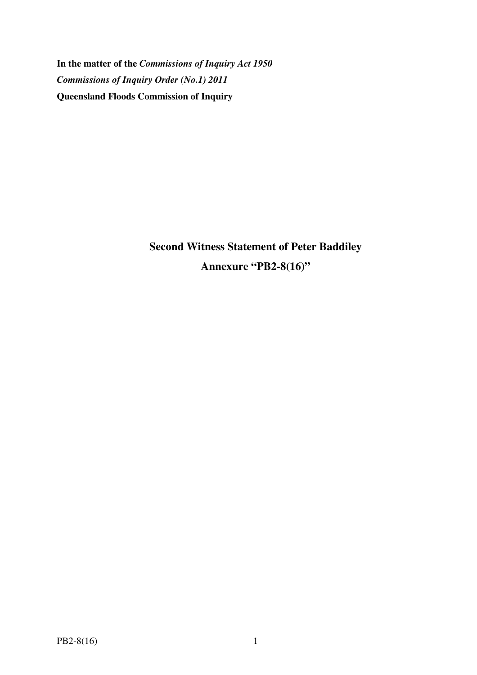**In the matter of the** *Commissions of Inquiry Act 1950 Commissions of Inquiry Order (No.1) 2011* **Queensland Floods Commission of Inquiry** 

> **Second Witness Statement of Peter Baddiley Annexure "PB2-8(16)"**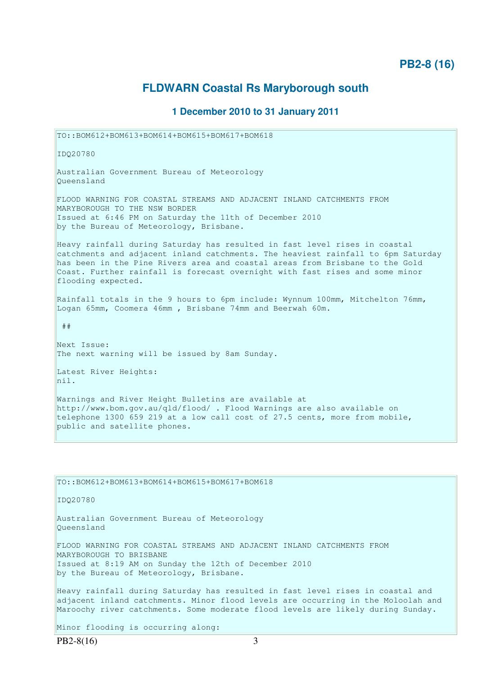# **PB2-8 (16)**

# **FLDWARN Coastal Rs Maryborough south**

# **1 December 2010 to 31 January 2011**

TO::BOM612+BOM613+BOM614+BOM615+BOM617+BOM618 IDQ20780 Australian Government Bureau of Meteorology Queensland FLOOD WARNING FOR COASTAL STREAMS AND ADJACENT INLAND CATCHMENTS FROM MARYBOROUGH TO THE NSW BORDER Issued at 6:46 PM on Saturday the 11th of December 2010 by the Bureau of Meteorology, Brisbane. Heavy rainfall during Saturday has resulted in fast level rises in coastal catchments and adjacent inland catchments. The heaviest rainfall to 6pm Saturday has been in the Pine Rivers area and coastal areas from Brisbane to the Gold Coast. Further rainfall is forecast overnight with fast rises and some minor flooding expected. Rainfall totals in the 9 hours to 6pm include: Wynnum 100mm, Mitchelton 76mm, Logan 65mm, Coomera 46mm , Brisbane 74mm and Beerwah 60m. ## Next Issue: The next warning will be issued by 8am Sunday. Latest River Heights: nil. Warnings and River Height Bulletins are available at http://www.bom.gov.au/qld/flood/ . Flood Warnings are also available on telephone 1300 659 219 at a low call cost of 27.5 cents, more from mobile, public and satellite phones. TO::BOM612+BOM613+BOM614+BOM615+BOM617+BOM618 IDQ20780 Australian Government Bureau of Meteorology Queensland

FLOOD WARNING FOR COASTAL STREAMS AND ADJACENT INLAND CATCHMENTS FROM MARYBOROUGH TO BRISBANE Issued at 8:19 AM on Sunday the 12th of December 2010 by the Bureau of Meteorology, Brisbane.

Heavy rainfall during Saturday has resulted in fast level rises in coastal and adjacent inland catchments. Minor flood levels are occurring in the Moloolah and Maroochy river catchments. Some moderate flood levels are likely during Sunday.

Minor flooding is occurring along: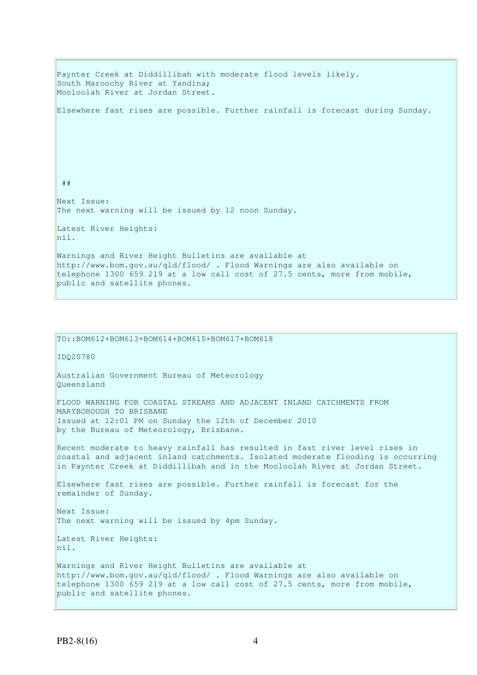Paynter Creek at Diddillibah with moderate flood levels likely. South Maroochy River at Yandina; Mooloolah River at Jordan Street. Elsewhere fast rises are possible. Further rainfall is forecast during Sunday. ## Next Issue: The next warning will be issued by 12 noon Sunday. Latest River Heights: nil. Warnings and River Height Bulletins are available at http://www.bom.gov.au/qld/flood/ . Flood Warnings are also available on telephone 1300 659 219 at a low call cost of 27.5 cents, more from mobile, public and satellite phones.

TO::BOM612+BOM613+BOM614+BOM615+BOM617+BOM618 IDQ20780 Australian Government Bureau of Meteorology Queensland FLOOD WARNING FOR COASTAL STREAMS AND ADJACENT INLAND CATCHMENTS FROM MARYBOROUGH TO BRISBANE Issued at 12:01 PM on Sunday the 12th of December 2010 by the Bureau of Meteorology, Brisbane. Recent moderate to heavy rainfall has resulted in fast river level rises in coastal and adjacent inland catchments. Isolated moderate flooding is occurring in Paynter Creek at Diddillibah and in the Mooloolah River at Jordan Street. Elsewhere fast rises are possible. Further rainfall is forecast for the remainder of Sunday. Next Issue: The next warning will be issued by 4pm Sunday. Latest River Heights: nil. Warnings and River Height Bulletins are available at http://www.bom.gov.au/qld/flood/ . Flood Warnings are also available on telephone 1300 659 219 at a low call cost of 27.5 cents, more from mobile, public and satellite phones.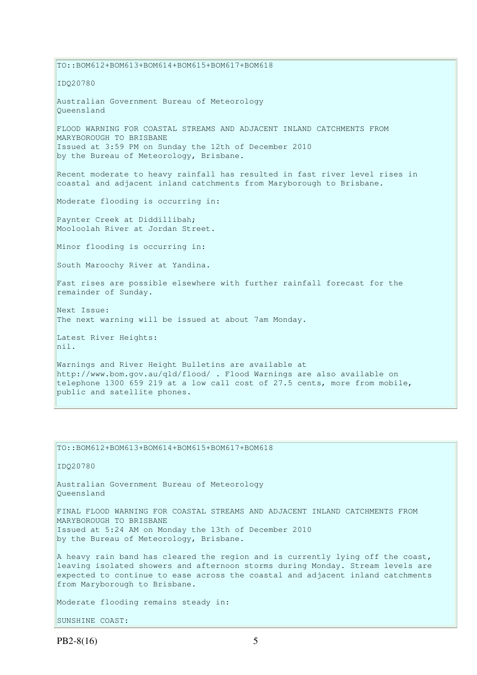TO::BOM612+BOM613+BOM614+BOM615+BOM617+BOM618 IDQ20780 Australian Government Bureau of Meteorology Queensland FLOOD WARNING FOR COASTAL STREAMS AND ADJACENT INLAND CATCHMENTS FROM MARYBOROUGH TO BRISBANE Issued at 3:59 PM on Sunday the 12th of December 2010 by the Bureau of Meteorology, Brisbane. Recent moderate to heavy rainfall has resulted in fast river level rises in coastal and adjacent inland catchments from Maryborough to Brisbane. Moderate flooding is occurring in: Paynter Creek at Diddillibah; Mooloolah River at Jordan Street. Minor flooding is occurring in: South Maroochy River at Yandina. Fast rises are possible elsewhere with further rainfall forecast for the remainder of Sunday. Next Issue: The next warning will be issued at about 7am Monday. Latest River Heights: nil. Warnings and River Height Bulletins are available at http://www.bom.gov.au/qld/flood/ . Flood Warnings are also available on telephone 1300 659 219 at a low call cost of 27.5 cents, more from mobile, public and satellite phones.

TO::BOM612+BOM613+BOM614+BOM615+BOM617+BOM618 IDQ20780 Australian Government Bureau of Meteorology Queensland FINAL FLOOD WARNING FOR COASTAL STREAMS AND ADJACENT INLAND CATCHMENTS FROM MARYBOROUGH TO BRISBANE Issued at 5:24 AM on Monday the 13th of December 2010 by the Bureau of Meteorology, Brisbane. A heavy rain band has cleared the region and is currently lying off the coast, leaving isolated showers and afternoon storms during Monday. Stream levels are expected to continue to ease across the coastal and adjacent inland catchments from Maryborough to Brisbane. Moderate flooding remains steady in:

SUNSHINE COAST: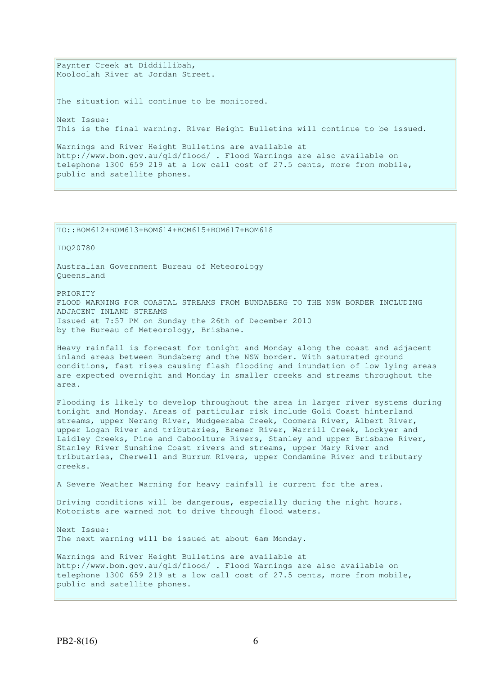Paynter Creek at Diddillibah, Mooloolah River at Jordan Street. The situation will continue to be monitored. Next Issue: This is the final warning. River Height Bulletins will continue to be issued. Warnings and River Height Bulletins are available at http://www.bom.gov.au/qld/flood/ . Flood Warnings are also available on telephone 1300 659 219 at a low call cost of 27.5 cents, more from mobile, public and satellite phones.

TO::BOM612+BOM613+BOM614+BOM615+BOM617+BOM618

IDQ20780

Australian Government Bureau of Meteorology Queensland

PRIORITY

FLOOD WARNING FOR COASTAL STREAMS FROM BUNDABERG TO THE NSW BORDER INCLUDING ADJACENT INLAND STREAMS Issued at 7:57 PM on Sunday the 26th of December 2010 by the Bureau of Meteorology, Brisbane.

Heavy rainfall is forecast for tonight and Monday along the coast and adjacent inland areas between Bundaberg and the NSW border. With saturated ground conditions, fast rises causing flash flooding and inundation of low lying areas are expected overnight and Monday in smaller creeks and streams throughout the area.

Flooding is likely to develop throughout the area in larger river systems during tonight and Monday. Areas of particular risk include Gold Coast hinterland streams, upper Nerang River, Mudgeeraba Creek, Coomera River, Albert River, upper Logan River and tributaries, Bremer River, Warrill Creek, Lockyer and Laidley Creeks, Pine and Caboolture Rivers, Stanley and upper Brisbane River, Stanley River Sunshine Coast rivers and streams, upper Mary River and tributaries, Cherwell and Burrum Rivers, upper Condamine River and tributary creeks.

A Severe Weather Warning for heavy rainfall is current for the area.

Driving conditions will be dangerous, especially during the night hours. Motorists are warned not to drive through flood waters.

Next Issue: The next warning will be issued at about 6am Monday.

Warnings and River Height Bulletins are available at http://www.bom.gov.au/qld/flood/ . Flood Warnings are also available on telephone 1300 659 219 at a low call cost of 27.5 cents, more from mobile, public and satellite phones.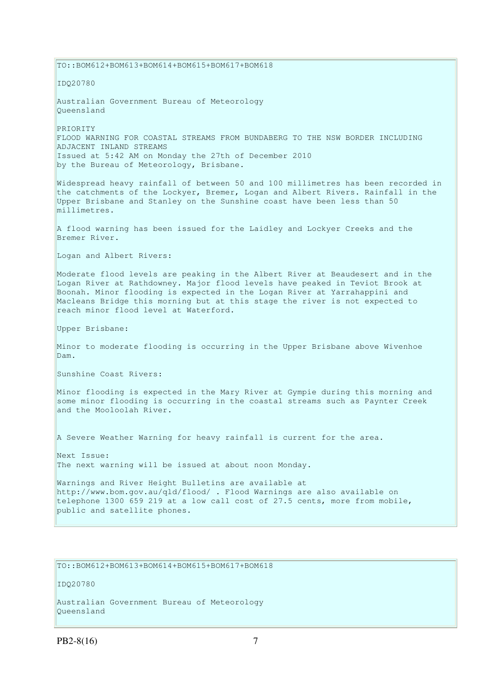TO::BOM612+BOM613+BOM614+BOM615+BOM617+BOM618 IDQ20780 Australian Government Bureau of Meteorology Queensland PRIORITY FLOOD WARNING FOR COASTAL STREAMS FROM BUNDABERG TO THE NSW BORDER INCLUDING ADJACENT INLAND STREAMS Issued at 5:42 AM on Monday the 27th of December 2010 by the Bureau of Meteorology, Brisbane. Widespread heavy rainfall of between 50 and 100 millimetres has been recorded in the catchments of the Lockyer, Bremer, Logan and Albert Rivers. Rainfall in the Upper Brisbane and Stanley on the Sunshine coast have been less than 50 millimetres. A flood warning has been issued for the Laidley and Lockyer Creeks and the Bremer River. Logan and Albert Rivers: Moderate flood levels are peaking in the Albert River at Beaudesert and in the Logan River at Rathdowney. Major flood levels have peaked in Teviot Brook at Boonah. Minor flooding is expected in the Logan River at Yarrahappini and Macleans Bridge this morning but at this stage the river is not expected to reach minor flood level at Waterford. Upper Brisbane: Minor to moderate flooding is occurring in the Upper Brisbane above Wivenhoe Dam. Sunshine Coast Rivers: Minor flooding is expected in the Mary River at Gympie during this morning and some minor flooding is occurring in the coastal streams such as Paynter Creek and the Mooloolah River. A Severe Weather Warning for heavy rainfall is current for the area. Next Issue: The next warning will be issued at about noon Monday. Warnings and River Height Bulletins are available at http://www.bom.gov.au/qld/flood/ . Flood Warnings are also available on telephone 1300 659 219 at a low call cost of 27.5 cents, more from mobile, public and satellite phones.

TO::BOM612+BOM613+BOM614+BOM615+BOM617+BOM618

IDQ20780

Australian Government Bureau of Meteorology Queensland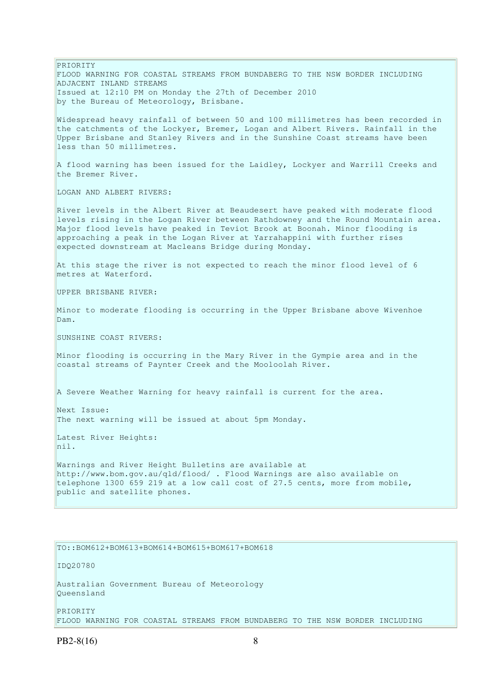PRIORITY FLOOD WARNING FOR COASTAL STREAMS FROM BUNDABERG TO THE NSW BORDER INCLUDING ADJACENT INLAND STREAMS Issued at 12:10 PM on Monday the 27th of December 2010 by the Bureau of Meteorology, Brisbane. Widespread heavy rainfall of between 50 and 100 millimetres has been recorded in the catchments of the Lockyer, Bremer, Logan and Albert Rivers. Rainfall in the Upper Brisbane and Stanley Rivers and in the Sunshine Coast streams have been less than 50 millimetres. A flood warning has been issued for the Laidley, Lockyer and Warrill Creeks and the Bremer River. LOGAN AND ALBERT RIVERS. River levels in the Albert River at Beaudesert have peaked with moderate flood levels rising in the Logan River between Rathdowney and the Round Mountain area. Major flood levels have peaked in Teviot Brook at Boonah. Minor flooding is approaching a peak in the Logan River at Yarrahappini with further rises expected downstream at Macleans Bridge during Monday. At this stage the river is not expected to reach the minor flood level of 6 metres at Waterford. UPPER BRISBANE RIVER: Minor to moderate flooding is occurring in the Upper Brisbane above Wivenhoe Dam. SUNSHINE COAST RIVERS: Minor flooding is occurring in the Mary River in the Gympie area and in the coastal streams of Paynter Creek and the Mooloolah River. A Severe Weather Warning for heavy rainfall is current for the area. Next Issue: The next warning will be issued at about 5pm Monday. Latest River Heights: nil. Warnings and River Height Bulletins are available at http://www.bom.gov.au/qld/flood/ . Flood Warnings are also available on telephone 1300 659 219 at a low call cost of 27.5 cents, more from mobile, public and satellite phones.

TO::BOM612+BOM613+BOM614+BOM615+BOM617+BOM618

IDQ20780

Australian Government Bureau of Meteorology Queensland

PRIORITY FLOOD WARNING FOR COASTAL STREAMS FROM BUNDABERG TO THE NSW BORDER INCLUDING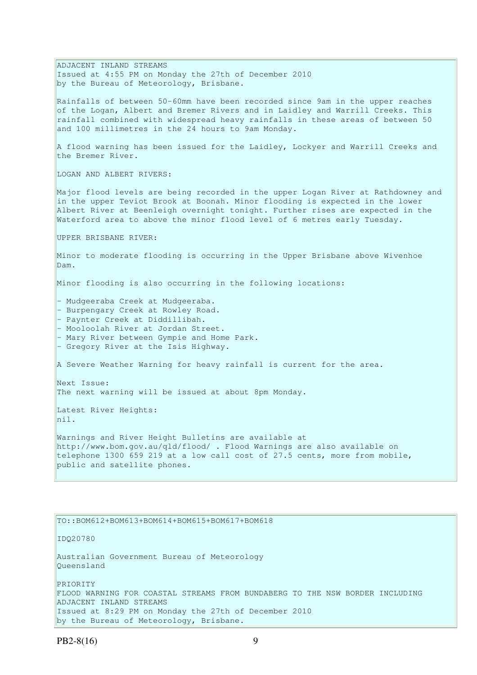ADJACENT INLAND STREAMS Issued at 4:55 PM on Monday the 27th of December 2010 by the Bureau of Meteorology, Brisbane. Rainfalls of between 50-60mm have been recorded since 9am in the upper reaches of the Logan, Albert and Bremer Rivers and in Laidley and Warrill Creeks. This rainfall combined with widespread heavy rainfalls in these areas of between 50 and 100 millimetres in the 24 hours to 9am Monday. A flood warning has been issued for the Laidley, Lockyer and Warrill Creeks and the Bremer River. LOGAN AND ALBERT RIVERS: Major flood levels are being recorded in the upper Logan River at Rathdowney and in the upper Teviot Brook at Boonah. Minor flooding is expected in the lower Albert River at Beenleigh overnight tonight. Further rises are expected in the Waterford area to above the minor flood level of 6 metres early Tuesday. UPPER BRISBANE RIVER: Minor to moderate flooding is occurring in the Upper Brisbane above Wivenhoe Dam. Minor flooding is also occurring in the following locations: - Mudgeeraba Creek at Mudgeeraba. - Burpengary Creek at Rowley Road. - Paynter Creek at Diddillibah. - Mooloolah River at Jordan Street. - Mary River between Gympie and Home Park. - Gregory River at the Isis Highway. A Severe Weather Warning for heavy rainfall is current for the area. Next Issue: The next warning will be issued at about 8pm Monday. Latest River Heights: nil. Warnings and River Height Bulletins are available at http://www.bom.gov.au/qld/flood/ . Flood Warnings are also available on telephone 1300 659 219 at a low call cost of 27.5 cents, more from mobile, public and satellite phones. TO::BOM612+BOM613+BOM614+BOM615+BOM617+BOM618

IDQ20780

Australian Government Bureau of Meteorology Queensland

PRIORITY FLOOD WARNING FOR COASTAL STREAMS FROM BUNDABERG TO THE NSW BORDER INCLUDING ADJACENT INLAND STREAMS Issued at 8:29 PM on Monday the 27th of December 2010 by the Bureau of Meteorology, Brisbane.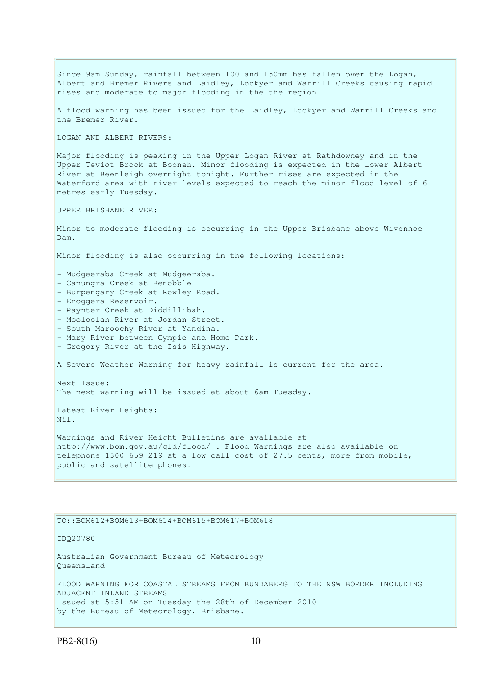Since 9am Sunday, rainfall between 100 and 150mm has fallen over the Logan, Albert and Bremer Rivers and Laidley, Lockyer and Warrill Creeks causing rapid rises and moderate to major flooding in the the region. A flood warning has been issued for the Laidley, Lockyer and Warrill Creeks and the Bremer River. LOGAN AND ALBERT RIVERS: Major flooding is peaking in the Upper Logan River at Rathdowney and in the Upper Teviot Brook at Boonah. Minor flooding is expected in the lower Albert River at Beenleigh overnight tonight. Further rises are expected in the Waterford area with river levels expected to reach the minor flood level of 6 metres early Tuesday. UPPER BRISBANE RIVER: Minor to moderate flooding is occurring in the Upper Brisbane above Wivenhoe Dam. Minor flooding is also occurring in the following locations: - Mudgeeraba Creek at Mudgeeraba. - Canungra Creek at Benobble - Burpengary Creek at Rowley Road. - Enoggera Reservoir. - Paynter Creek at Diddillibah. - Mooloolah River at Jordan Street. - South Maroochy River at Yandina. - Mary River between Gympie and Home Park. - Gregory River at the Isis Highway. A Severe Weather Warning for heavy rainfall is current for the area. Next Issue: The next warning will be issued at about 6am Tuesday. Latest River Heights: Nil. Warnings and River Height Bulletins are available at http://www.bom.gov.au/qld/flood/ . Flood Warnings are also available on telephone 1300 659 219 at a low call cost of 27.5 cents, more from mobile, public and satellite phones.

#### TO::BOM612+BOM613+BOM614+BOM615+BOM617+BOM618

IDQ20780

Australian Government Bureau of Meteorology Queensland

FLOOD WARNING FOR COASTAL STREAMS FROM BUNDABERG TO THE NSW BORDER INCLUDING ADJACENT INLAND STREAMS Issued at 5:51 AM on Tuesday the 28th of December 2010 by the Bureau of Meteorology, Brisbane.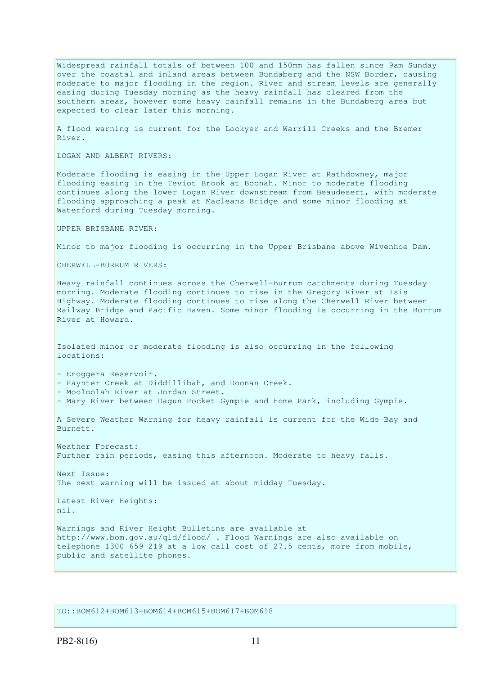Widespread rainfall totals of between 100 and 150mm has fallen since 9am Sunday over the coastal and inland areas between Bundaberg and the NSW Border, causing moderate to major flooding in the region. River and stream levels are generally easing during Tuesday morning as the heavy rainfall has cleared from the southern areas, however some heavy rainfall remains in the Bundaberg area but expected to clear later this morning.

A flood warning is current for the Lockyer and Warrill Creeks and the Bremer River.

LOGAN AND ALBERT RIVERS:

Moderate flooding is easing in the Upper Logan River at Rathdowney, major flooding easing in the Teviot Brook at Boonah. Minor to moderate flooding continues along the lower Logan River downstream from Beaudesert, with moderate flooding approaching a peak at Macleans Bridge and some minor flooding at Waterford during Tuesday morning.

UPPER BRISBANE RIVER:

Minor to major flooding is occurring in the Upper Brisbane above Wivenhoe Dam.

CHERWELL-BURRUM RIVERS:

Heavy rainfall continues across the Cherwell-Burrum catchments during Tuesday morning. Moderate flooding continues to rise in the Gregory River at Isis Highway. Moderate flooding continues to rise along the Cherwell River between Railway Bridge and Pacific Haven. Some minor flooding is occurring in the Burrum River at Howard.

Isolated minor or moderate flooding is also occurring in the following locations:

- Enoggera Reservoir.

- Paynter Creek at Diddillibah, and Doonan Creek.

- Mooloolah River at Jordan Street.

- Mary River between Dagun Pocket Gympie and Home Park, including Gympie.

A Severe Weather Warning for heavy rainfall is current for the Wide Bay and Burnett.

Weather Forecast: Further rain periods, easing this afternoon. Moderate to heavy falls.

Next Issue: The next warning will be issued at about midday Tuesday.

Latest River Heights: nil.

Warnings and River Height Bulletins are available at http://www.bom.gov.au/qld/flood/ . Flood Warnings are also available on telephone 1300 659 219 at a low call cost of 27.5 cents, more from mobile, public and satellite phones.

TO::BOM612+BOM613+BOM614+BOM615+BOM617+BOM618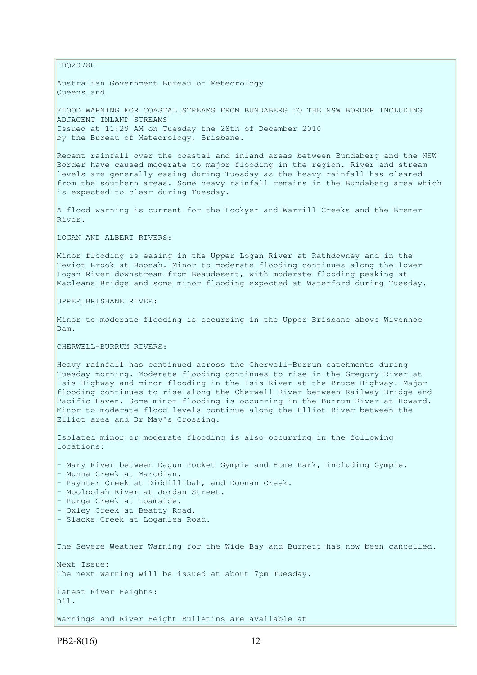IDQ20780

Australian Government Bureau of Meteorology Queensland

FLOOD WARNING FOR COASTAL STREAMS FROM BUNDABERG TO THE NSW BORDER INCLUDING ADJACENT INLAND STREAMS Issued at 11:29 AM on Tuesday the 28th of December 2010 by the Bureau of Meteorology, Brisbane.

Recent rainfall over the coastal and inland areas between Bundaberg and the NSW Border have caused moderate to major flooding in the region. River and stream levels are generally easing during Tuesday as the heavy rainfall has cleared from the southern areas. Some heavy rainfall remains in the Bundaberg area which is expected to clear during Tuesday.

A flood warning is current for the Lockyer and Warrill Creeks and the Bremer River.

LOGAN AND ALBERT RIVERS:

Minor flooding is easing in the Upper Logan River at Rathdowney and in the Teviot Brook at Boonah. Minor to moderate flooding continues along the lower Logan River downstream from Beaudesert, with moderate flooding peaking at Macleans Bridge and some minor flooding expected at Waterford during Tuesday.

UPPER BRISBANE RIVER:

Minor to moderate flooding is occurring in the Upper Brisbane above Wivenhoe Dam.

CHERWELL-BURRUM RIVERS:

Heavy rainfall has continued across the Cherwell-Burrum catchments during Tuesday morning. Moderate flooding continues to rise in the Gregory River at Isis Highway and minor flooding in the Isis River at the Bruce Highway. Major flooding continues to rise along the Cherwell River between Railway Bridge and Pacific Haven. Some minor flooding is occurring in the Burrum River at Howard. Minor to moderate flood levels continue along the Elliot River between the Elliot area and Dr May's Crossing.

Isolated minor or moderate flooding is also occurring in the following locations:

- Mary River between Dagun Pocket Gympie and Home Park, including Gympie. - Munna Creek at Marodian.

- Paynter Creek at Diddillibah, and Doonan Creek.

- Mooloolah River at Jordan Street.
- Purga Creek at Loamside.
- Oxley Creek at Beatty Road.
- Slacks Creek at Loganlea Road.

The Severe Weather Warning for the Wide Bay and Burnett has now been cancelled.

The next warning will be issued at about 7pm Tuesday.

Latest River Heights: nil.

Warnings and River Height Bulletins are available at

Next Issue: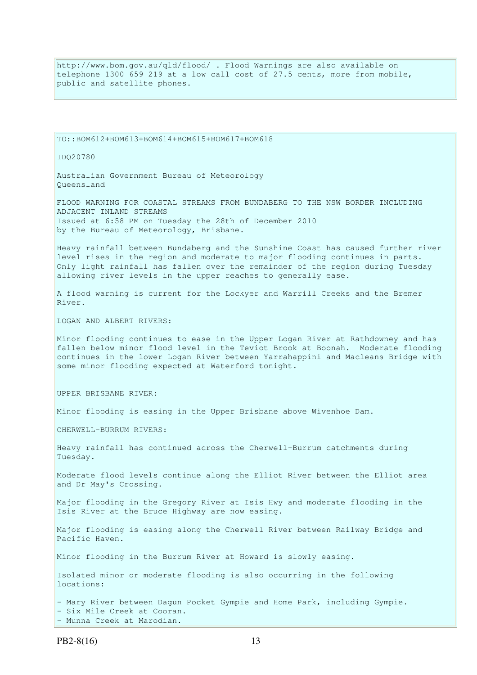http://www.bom.gov.au/qld/flood/ . Flood Warnings are also available on telephone 1300 659 219 at a low call cost of 27.5 cents, more from mobile, public and satellite phones.

TO::BOM612+BOM613+BOM614+BOM615+BOM617+BOM618

IDQ20780

Australian Government Bureau of Meteorology Queensland

FLOOD WARNING FOR COASTAL STREAMS FROM BUNDABERG TO THE NSW BORDER INCLUDING ADJACENT INLAND STREAMS Issued at 6:58 PM on Tuesday the 28th of December 2010 by the Bureau of Meteorology, Brisbane.

Heavy rainfall between Bundaberg and the Sunshine Coast has caused further river level rises in the region and moderate to major flooding continues in parts. Only light rainfall has fallen over the remainder of the region during Tuesday allowing river levels in the upper reaches to generally ease.

A flood warning is current for the Lockyer and Warrill Creeks and the Bremer River.

LOGAN AND ALBERT RIVERS:

Minor flooding continues to ease in the Upper Logan River at Rathdowney and has fallen below minor flood level in the Teviot Brook at Boonah. Moderate flooding continues in the lower Logan River between Yarrahappini and Macleans Bridge with some minor flooding expected at Waterford tonight.

UPPER BRISBANE RIVER:

Minor flooding is easing in the Upper Brisbane above Wivenhoe Dam.

CHERWELL-BURRUM RIVERS:

Heavy rainfall has continued across the Cherwell-Burrum catchments during Tuesday.

Moderate flood levels continue along the Elliot River between the Elliot area and Dr May's Crossing.

Major flooding in the Gregory River at Isis Hwy and moderate flooding in the Isis River at the Bruce Highway are now easing.

Major flooding is easing along the Cherwell River between Railway Bridge and Pacific Haven.

Minor flooding in the Burrum River at Howard is slowly easing.

Isolated minor or moderate flooding is also occurring in the following locations:

- Mary River between Dagun Pocket Gympie and Home Park, including Gympie. - Six Mile Creek at Cooran. - Munna Creek at Marodian.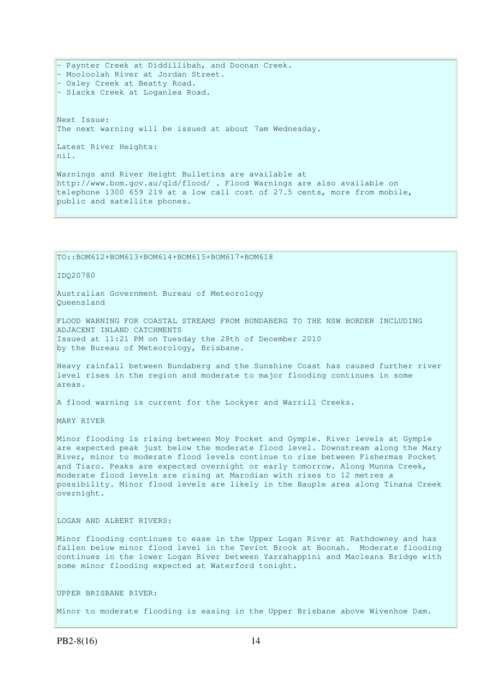- Paynter Creek at Diddillibah, and Doonan Creek. - Mooloolah River at Jordan Street. - Oxley Creek at Beatty Road. - Slacks Creek at Loganlea Road. Next Issue: The next warning will be issued at about 7am Wednesday. Latest River Heights: nil. Warnings and River Height Bulletins are available at http://www.bom.gov.au/qld/flood/ . Flood Warnings are also available on telephone 1300 659 219 at a low call cost of 27.5 cents, more from mobile,

TO::BOM612+BOM613+BOM614+BOM615+BOM617+BOM618

public and satellite phones.

IDQ20780

Australian Government Bureau of Meteorology Queensland

FLOOD WARNING FOR COASTAL STREAMS FROM BUNDABERG TO THE NSW BORDER INCLUDING ADJACENT INLAND CATCHMENTS Issued at 11:21 PM on Tuesday the 28th of December 2010 by the Bureau of Meteorology, Brisbane.

Heavy rainfall between Bundaberg and the Sunshine Coast has caused further river level rises in the region and moderate to major flooding continues in some areas.

A flood warning is current for the Lockyer and Warrill Creeks.

MARY RIVER

Minor flooding is rising between Moy Pocket and Gympie. River levels at Gympie are expected peak just below the moderate flood level. Downstream along the Mary River, minor to moderate flood levels continue to rise between Fishermas Pocket and Tiaro. Peaks are expected overnight or early tomorrow. Along Munna Creek, moderate flood levels are rising at Marodian with rises to 12 metres a possibility. Minor flood levels are likely in the Bauple area along Tinana Creek overnight.

LOGAN AND ALBERT RIVERS:

Minor flooding continues to ease in the Upper Logan River at Rathdowney and has fallen below minor flood level in the Teviot Brook at Boonah. Moderate flooding continues in the lower Logan River between Yarrahappini and Macleans Bridge with some minor flooding expected at Waterford tonight.

UPPER BRISBANE RIVER:

Minor to moderate flooding is easing in the Upper Brisbane above Wivenhoe Dam.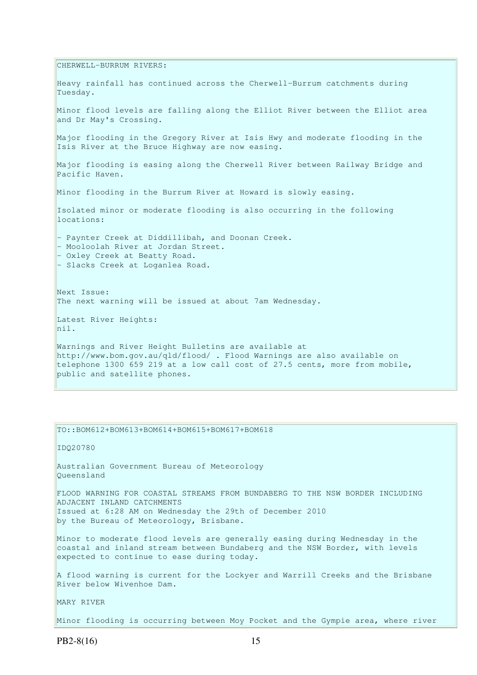CHERWELL-BURRUM RIVERS: Heavy rainfall has continued across the Cherwell-Burrum catchments during Tuesday. Minor flood levels are falling along the Elliot River between the Elliot area and Dr May's Crossing. Major flooding in the Gregory River at Isis Hwy and moderate flooding in the Isis River at the Bruce Highway are now easing. Major flooding is easing along the Cherwell River between Railway Bridge and Pacific Haven. Minor flooding in the Burrum River at Howard is slowly easing. Isolated minor or moderate flooding is also occurring in the following locations: - Paynter Creek at Diddillibah, and Doonan Creek. - Mooloolah River at Jordan Street. - Oxley Creek at Beatty Road. - Slacks Creek at Loganlea Road. Next Issue: The next warning will be issued at about 7am Wednesday. Latest River Heights: nil. Warnings and River Height Bulletins are available at http://www.bom.gov.au/qld/flood/ . Flood Warnings are also available on telephone 1300 659 219 at a low call cost of 27.5 cents, more from mobile, public and satellite phones.

TO::BOM612+BOM613+BOM614+BOM615+BOM617+BOM618

IDQ20780 Australian Government Bureau of Meteorology Queensland FLOOD WARNING FOR COASTAL STREAMS FROM BUNDABERG TO THE NSW BORDER INCLUDING ADJACENT INLAND CATCHMENTS Issued at 6:28 AM on Wednesday the 29th of December 2010 by the Bureau of Meteorology, Brisbane. Minor to moderate flood levels are generally easing during Wednesday in the coastal and inland stream between Bundaberg and the NSW Border, with levels expected to continue to ease during today. A flood warning is current for the Lockyer and Warrill Creeks and the Brisbane River below Wivenhoe Dam.

MARY RIVER

Minor flooding is occurring between Moy Pocket and the Gympie area, where river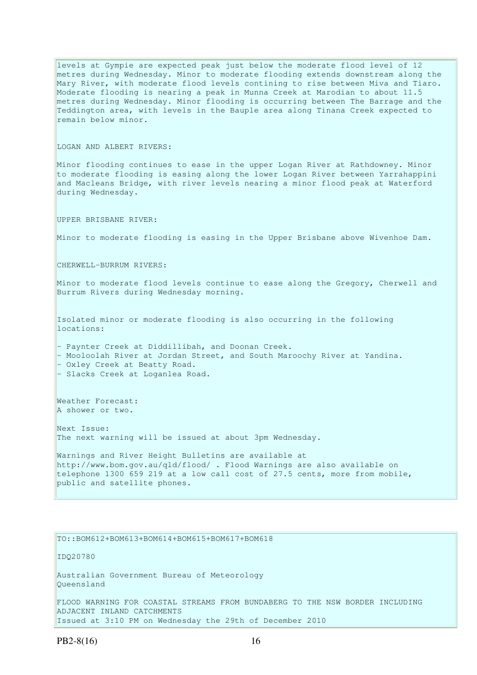levels at Gympie are expected peak just below the moderate flood level of 12 metres during Wednesday. Minor to moderate flooding extends downstream along the Mary River, with moderate flood levels contining to rise between Miva and Tiaro. Moderate flooding is nearing a peak in Munna Creek at Marodian to about 11.5 metres during Wednesday. Minor flooding is occurring between The Barrage and the Teddington area, with levels in the Bauple area along Tinana Creek expected to remain below minor. LOGAN AND ALBERT RIVERS: Minor flooding continues to ease in the upper Logan River at Rathdowney. Minor to moderate flooding is easing along the lower Logan River between Yarrahappini and Macleans Bridge, with river levels nearing a minor flood peak at Waterford during Wednesday. UPPER BRISBANE RIVER: Minor to moderate flooding is easing in the Upper Brisbane above Wivenhoe Dam. CHERWELL-BURRUM RIVERS: Minor to moderate flood levels continue to ease along the Gregory, Cherwell and Burrum Rivers during Wednesday morning. Isolated minor or moderate flooding is also occurring in the following locations: - Paynter Creek at Diddillibah, and Doonan Creek. - Mooloolah River at Jordan Street, and South Maroochy River at Yandina. - Oxley Creek at Beatty Road. - Slacks Creek at Loganlea Road. Weather Forecast: A shower or two. Next Issue: The next warning will be issued at about 3pm Wednesday. Warnings and River Height Bulletins are available at http://www.bom.gov.au/qld/flood/ . Flood Warnings are also available on telephone 1300 659 219 at a low call cost of 27.5 cents, more from mobile, public and satellite phones.

TO::BOM612+BOM613+BOM614+BOM615+BOM617+BOM618

IDQ20780

Australian Government Bureau of Meteorology Queensland

FLOOD WARNING FOR COASTAL STREAMS FROM BUNDABERG TO THE NSW BORDER INCLUDING ADJACENT INLAND CATCHMENTS Issued at 3:10 PM on Wednesday the 29th of December 2010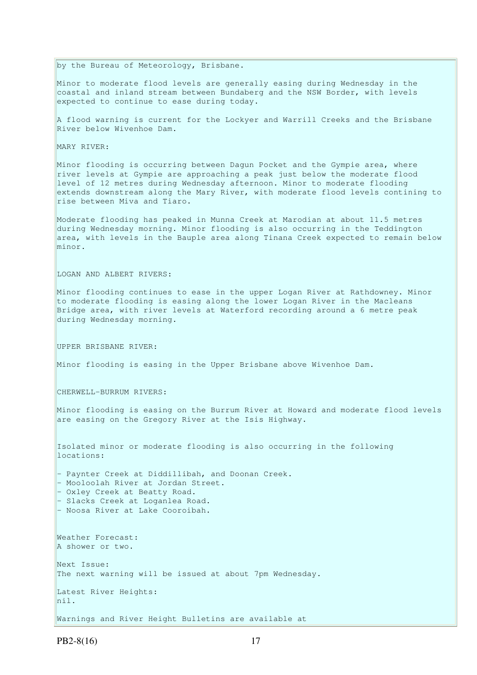by the Bureau of Meteorology, Brisbane.

Minor to moderate flood levels are generally easing during Wednesday in the coastal and inland stream between Bundaberg and the NSW Border, with levels expected to continue to ease during today.

A flood warning is current for the Lockyer and Warrill Creeks and the Brisbane River below Wivenhoe Dam.

MARY RIVER:

Minor flooding is occurring between Dagun Pocket and the Gympie area, where river levels at Gympie are approaching a peak just below the moderate flood level of 12 metres during Wednesday afternoon. Minor to moderate flooding extends downstream along the Mary River, with moderate flood levels contining to rise between Miva and Tiaro.

Moderate flooding has peaked in Munna Creek at Marodian at about 11.5 metres during Wednesday morning. Minor flooding is also occurring in the Teddington area, with levels in the Bauple area along Tinana Creek expected to remain below minor.

LOGAN AND ALBERT RIVERS:

Minor flooding continues to ease in the upper Logan River at Rathdowney. Minor to moderate flooding is easing along the lower Logan River in the Macleans Bridge area, with river levels at Waterford recording around a 6 metre peak during Wednesday morning.

UPPER BRISBANE RIVER:

Minor flooding is easing in the Upper Brisbane above Wivenhoe Dam.

CHERWELL-BURRUM RIVERS:

Minor flooding is easing on the Burrum River at Howard and moderate flood levels are easing on the Gregory River at the Isis Highway.

Isolated minor or moderate flooding is also occurring in the following locations: - Paynter Creek at Diddillibah, and Doonan Creek. - Mooloolah River at Jordan Street. - Oxley Creek at Beatty Road. - Slacks Creek at Loganlea Road. - Noosa River at Lake Cooroibah. Weather Forecast: A shower or two. Next Issue: The next warning will be issued at about 7pm Wednesday. Latest River Heights: nil. Warnings and River Height Bulletins are available at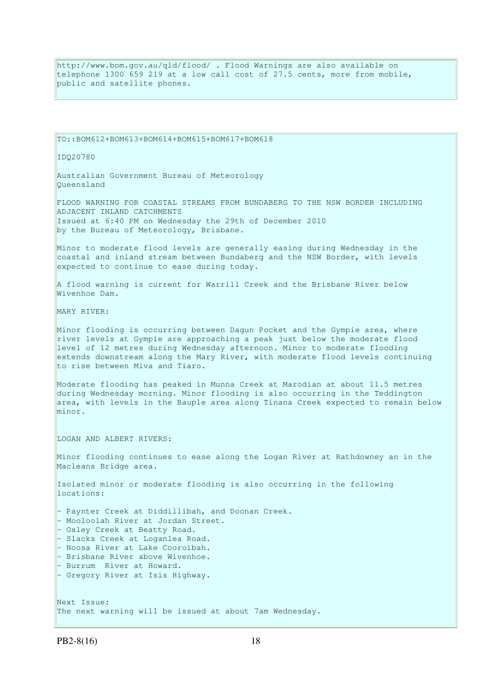http://www.bom.gov.au/qld/flood/ . Flood Warnings are also available on telephone 1300 659 219 at a low call cost of 27.5 cents, more from mobile, public and satellite phones.

TO::BOM612+BOM613+BOM614+BOM615+BOM617+BOM618

IDQ20780

Australian Government Bureau of Meteorology Queensland

FLOOD WARNING FOR COASTAL STREAMS FROM BUNDABERG TO THE NSW BORDER INCLUDING ADJACENT INLAND CATCHMENTS Issued at 6:40 PM on Wednesday the 29th of December 2010 by the Bureau of Meteorology, Brisbane.

Minor to moderate flood levels are generally easing during Wednesday in the coastal and inland stream between Bundaberg and the NSW Border, with levels expected to continue to ease during today.

A flood warning is current for Warrill Creek and the Brisbane River below Wivenhoe Dam.

MARY RIVER:

Minor flooding is occurring between Dagun Pocket and the Gympie area, where river levels at Gympie are approaching a peak just below the moderate flood level of 12 metres during Wednesday afternoon. Minor to moderate flooding extends downstream along the Mary River, with moderate flood levels continuing to rise between Miva and Tiaro.

Moderate flooding has peaked in Munna Creek at Marodian at about 11.5 metres during Wednesday morning. Minor flooding is also occurring in the Teddington area, with levels in the Bauple area along Tinana Creek expected to remain below minor.

LOGAN AND ALBERT RIVERS:

Minor flooding continues to ease along the Logan River at Rathdowney an in the Macleans Bridge area.

Isolated minor or moderate flooding is also occurring in the following locations:

- Paynter Creek at Diddillibah, and Doonan Creek. - Mooloolah River at Jordan Street. - Oxley Creek at Beatty Road. - Slacks Creek at Loganlea Road. - Noosa River at Lake Cooroibah.

- Brisbane River above Wivenhoe.
- Burrum River at Howard.
- Gregory River at Isis Highway.

Next Issue: The next warning will be issued at about 7am Wednesday.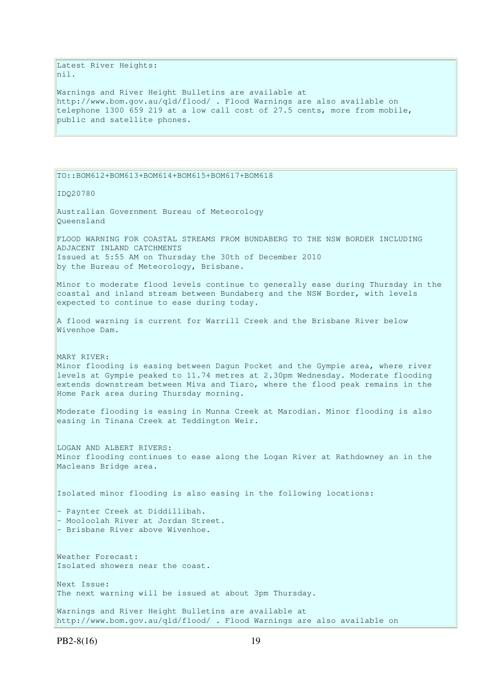Latest River Heights: nil.

Warnings and River Height Bulletins are available at http://www.bom.gov.au/qld/flood/ . Flood Warnings are also available on telephone 1300 659 219 at a low call cost of 27.5 cents, more from mobile, public and satellite phones.

TO::BOM612+BOM613+BOM614+BOM615+BOM617+BOM618 IDQ20780 Australian Government Bureau of Meteorology Queensland FLOOD WARNING FOR COASTAL STREAMS FROM BUNDABERG TO THE NSW BORDER INCLUDING ADJACENT INLAND CATCHMENTS Issued at 5:55 AM on Thursday the 30th of December 2010 by the Bureau of Meteorology, Brisbane. Minor to moderate flood levels continue to generally ease during Thursday in the coastal and inland stream between Bundaberg and the NSW Border, with levels expected to continue to ease during today. A flood warning is current for Warrill Creek and the Brisbane River below Wivenhoe Dam. MARY RIVER: Minor flooding is easing between Dagun Pocket and the Gympie area, where river levels at Gympie peaked to 11.74 metres at 2.30pm Wednesday. Moderate flooding extends downstream between Miva and Tiaro, where the flood peak remains in the Home Park area during Thursday morning. Moderate flooding is easing in Munna Creek at Marodian. Minor flooding is also easing in Tinana Creek at Teddington Weir. LOGAN AND ALBERT RIVERS: Minor flooding continues to ease along the Logan River at Rathdowney an in the Macleans Bridge area. Isolated minor flooding is also easing in the following locations: - Paynter Creek at Diddillibah. - Mooloolah River at Jordan Street. - Brisbane River above Wivenhoe. Weather Forecast: Isolated showers near the coast. Next Issue: The next warning will be issued at about 3pm Thursday. Warnings and River Height Bulletins are available at http://www.bom.gov.au/qld/flood/ . Flood Warnings are also available on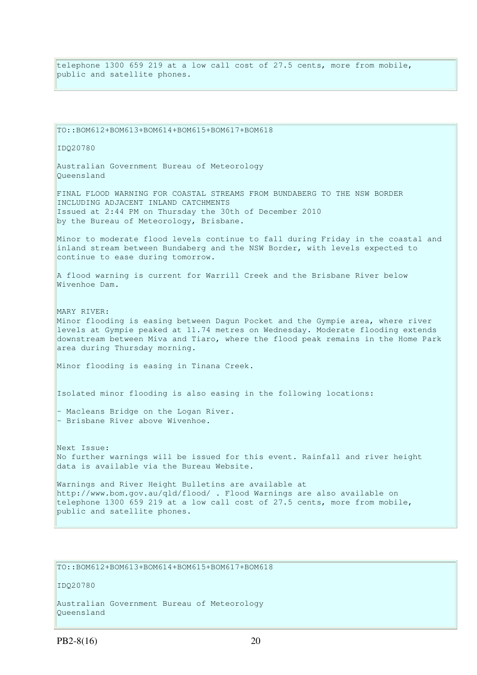telephone 1300 659 219 at a low call cost of 27.5 cents, more from mobile, public and satellite phones.

TO::BOM612+BOM613+BOM614+BOM615+BOM617+BOM618 IDQ20780 Australian Government Bureau of Meteorology Queensland FINAL FLOOD WARNING FOR COASTAL STREAMS FROM BUNDABERG TO THE NSW BORDER INCLUDING ADJACENT INLAND CATCHMENTS Issued at 2:44 PM on Thursday the 30th of December 2010 by the Bureau of Meteorology, Brisbane. Minor to moderate flood levels continue to fall during Friday in the coastal and inland stream between Bundaberg and the NSW Border, with levels expected to continue to ease during tomorrow. A flood warning is current for Warrill Creek and the Brisbane River below Wivenhoe Dam. MARY RIVER: Minor flooding is easing between Dagun Pocket and the Gympie area, where river levels at Gympie peaked at 11.74 metres on Wednesday. Moderate flooding extends downstream between Miva and Tiaro, where the flood peak remains in the Home Park area during Thursday morning. Minor flooding is easing in Tinana Creek. Isolated minor flooding is also easing in the following locations: - Macleans Bridge on the Logan River. - Brisbane River above Wivenhoe. Next Issue: No further warnings will be issued for this event. Rainfall and river height data is available via the Bureau Website. Warnings and River Height Bulletins are available at http://www.bom.gov.au/qld/flood/ . Flood Warnings are also available on telephone 1300 659 219 at a low call cost of 27.5 cents, more from mobile, public and satellite phones.

TO::BOM612+BOM613+BOM614+BOM615+BOM617+BOM618

IDQ20780

Australian Government Bureau of Meteorology Queensland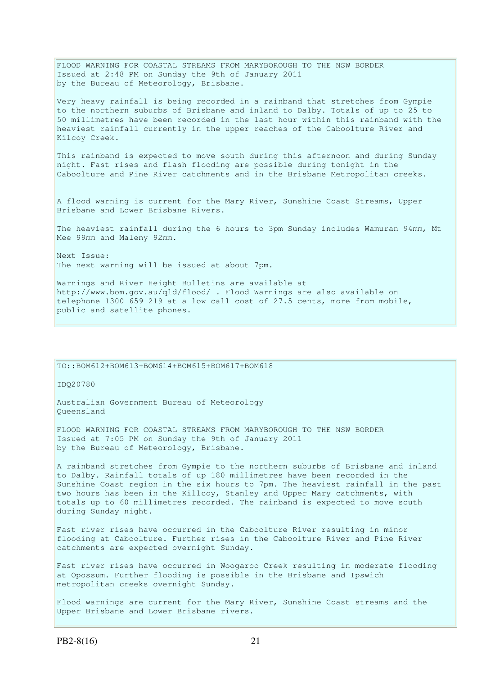FLOOD WARNING FOR COASTAL STREAMS FROM MARYBOROUGH TO THE NSW BORDER Issued at 2:48 PM on Sunday the 9th of January 2011 by the Bureau of Meteorology, Brisbane.

Very heavy rainfall is being recorded in a rainband that stretches from Gympie to the northern suburbs of Brisbane and inland to Dalby. Totals of up to 25 to 50 millimetres have been recorded in the last hour within this rainband with the heaviest rainfall currently in the upper reaches of the Caboolture River and Kilcoy Creek.

This rainband is expected to move south during this afternoon and during Sunday night. Fast rises and flash flooding are possible during tonight in the Caboolture and Pine River catchments and in the Brisbane Metropolitan creeks.

A flood warning is current for the Mary River, Sunshine Coast Streams, Upper Brisbane and Lower Brisbane Rivers.

The heaviest rainfall during the 6 hours to 3pm Sunday includes Wamuran 94mm, Mt Mee 99mm and Maleny 92mm.

Next Issue: The next warning will be issued at about 7pm.

Warnings and River Height Bulletins are available at http://www.bom.gov.au/qld/flood/ . Flood Warnings are also available on telephone 1300 659 219 at a low call cost of 27.5 cents, more from mobile, public and satellite phones.

TO::BOM612+BOM613+BOM614+BOM615+BOM617+BOM618

IDQ20780

Australian Government Bureau of Meteorology Queensland

FLOOD WARNING FOR COASTAL STREAMS FROM MARYBOROUGH TO THE NSW BORDER Issued at 7:05 PM on Sunday the 9th of January 2011 by the Bureau of Meteorology, Brisbane.

A rainband stretches from Gympie to the northern suburbs of Brisbane and inland to Dalby. Rainfall totals of up 180 millimetres have been recorded in the Sunshine Coast region in the six hours to 7pm. The heaviest rainfall in the past two hours has been in the Killcoy, Stanley and Upper Mary catchments, with totals up to 60 millimetres recorded. The rainband is expected to move south during Sunday night.

Fast river rises have occurred in the Caboolture River resulting in minor flooding at Caboolture. Further rises in the Caboolture River and Pine River catchments are expected overnight Sunday.

Fast river rises have occurred in Woogaroo Creek resulting in moderate flooding at Opossum. Further flooding is possible in the Brisbane and Ipswich metropolitan creeks overnight Sunday.

Flood warnings are current for the Mary River, Sunshine Coast streams and the Upper Brisbane and Lower Brisbane rivers.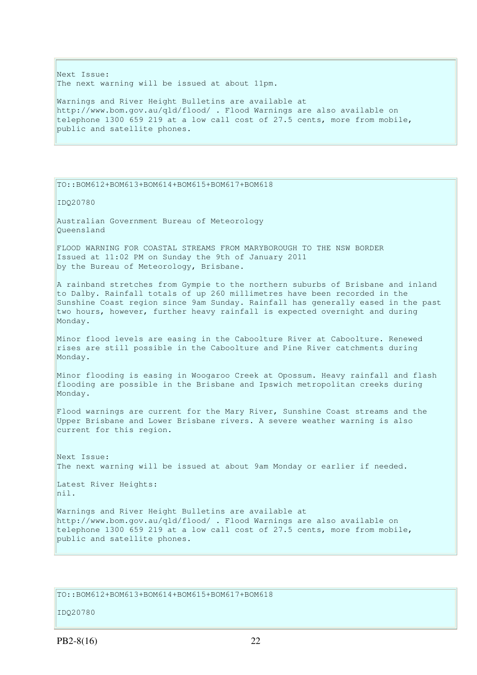Next Issue: The next warning will be issued at about 11pm.

Warnings and River Height Bulletins are available at http://www.bom.gov.au/qld/flood/ . Flood Warnings are also available on telephone 1300 659 219 at a low call cost of 27.5 cents, more from mobile, public and satellite phones.

### TO::BOM612+BOM613+BOM614+BOM615+BOM617+BOM618

IDQ20780

Australian Government Bureau of Meteorology Queensland

FLOOD WARNING FOR COASTAL STREAMS FROM MARYBOROUGH TO THE NSW BORDER Issued at 11:02 PM on Sunday the 9th of January 2011 by the Bureau of Meteorology, Brisbane.

A rainband stretches from Gympie to the northern suburbs of Brisbane and inland to Dalby. Rainfall totals of up 260 millimetres have been recorded in the Sunshine Coast region since 9am Sunday. Rainfall has generally eased in the past two hours, however, further heavy rainfall is expected overnight and during Monday.

Minor flood levels are easing in the Caboolture River at Caboolture. Renewed rises are still possible in the Caboolture and Pine River catchments during Monday.

Minor flooding is easing in Woogaroo Creek at Opossum. Heavy rainfall and flash flooding are possible in the Brisbane and Ipswich metropolitan creeks during Monday.

Flood warnings are current for the Mary River, Sunshine Coast streams and the Upper Brisbane and Lower Brisbane rivers. A severe weather warning is also current for this region.

Next Issue: The next warning will be issued at about 9am Monday or earlier if needed.

Latest River Heights: nil.

Warnings and River Height Bulletins are available at http://www.bom.gov.au/qld/flood/ . Flood Warnings are also available on telephone 1300 659 219 at a low call cost of 27.5 cents, more from mobile, public and satellite phones.

## TO::BOM612+BOM613+BOM614+BOM615+BOM617+BOM618

IDQ20780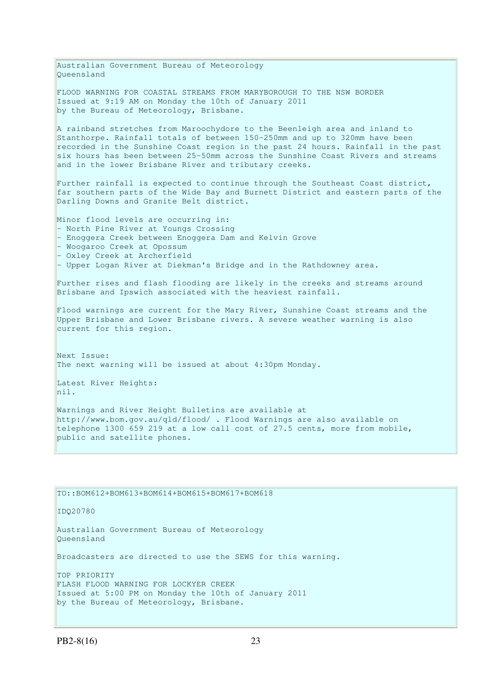Australian Government Bureau of Meteorology Queensland FLOOD WARNING FOR COASTAL STREAMS FROM MARYBOROUGH TO THE NSW BORDER Issued at 9:19 AM on Monday the 10th of January 2011 by the Bureau of Meteorology, Brisbane. A rainband stretches from Maroochydore to the Beenleigh area and inland to Stanthorpe. Rainfall totals of between 150-250mm and up to 320mm have been recorded in the Sunshine Coast region in the past 24 hours. Rainfall in the past  $s$ ix hours has been between 25-50mm across the Sunshine Coast Rivers and streams and in the lower Brisbane River and tributary creeks. Further rainfall is expected to continue through the Southeast Coast district, far southern parts of the Wide Bay and Burnett District and eastern parts of the Darling Downs and Granite Belt district. Minor flood levels are occurring in: - North Pine River at Youngs Crossing - Enoggera Creek between Enoggera Dam and Kelvin Grove - Woogaroo Creek at Opossum - Oxley Creek at Archerfield - Upper Logan River at Diekman's Bridge and in the Rathdowney area. Further rises and flash flooding are likely in the creeks and streams around Brisbane and Ipswich associated with the heaviest rainfall. Flood warnings are current for the Mary River, Sunshine Coast streams and the Upper Brisbane and Lower Brisbane rivers. A severe weather warning is also current for this region. Next Issue: The next warning will be issued at about 4:30pm Monday. Latest River Heights: nil. Warnings and River Height Bulletins are available at http://www.bom.gov.au/qld/flood/ . Flood Warnings are also available on telephone 1300 659 219 at a low call cost of 27.5 cents, more from mobile, public and satellite phones. TO::BOM612+BOM613+BOM614+BOM615+BOM617+BOM618

IDQ20780

Australian Government Bureau of Meteorology Queensland

Broadcasters are directed to use the SEWS for this warning.

TOP PRIORITY FLASH FLOOD WARNING FOR LOCKYER CREEK Issued at 5:00 PM on Monday the 10th of January 2011 by the Bureau of Meteorology, Brisbane.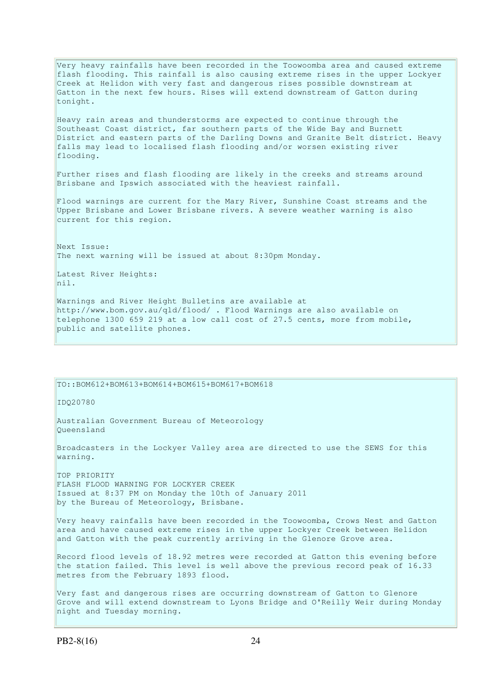Very heavy rainfalls have been recorded in the Toowoomba area and caused extreme flash flooding. This rainfall is also causing extreme rises in the upper Lockyer Creek at Helidon with very fast and dangerous rises possible downstream at Gatton in the next few hours. Rises will extend downstream of Gatton during tonight.

Heavy rain areas and thunderstorms are expected to continue through the Southeast Coast district, far southern parts of the Wide Bay and Burnett District and eastern parts of the Darling Downs and Granite Belt district. Heavy falls may lead to localised flash flooding and/or worsen existing river flooding.

Further rises and flash flooding are likely in the creeks and streams around Brisbane and Ipswich associated with the heaviest rainfall.

Flood warnings are current for the Mary River, Sunshine Coast streams and the Upper Brisbane and Lower Brisbane rivers. A severe weather warning is also current for this region.

Next Issue: The next warning will be issued at about 8:30pm Monday.

Latest River Heights: nil.

Warnings and River Height Bulletins are available at http://www.bom.gov.au/qld/flood/ . Flood Warnings are also available on telephone 1300 659 219 at a low call cost of 27.5 cents, more from mobile, public and satellite phones.

TO::BOM612+BOM613+BOM614+BOM615+BOM617+BOM618

IDQ20780

Australian Government Bureau of Meteorology Queensland

Broadcasters in the Lockyer Valley area are directed to use the SEWS for this warning.

TOP PRIORITY FLASH FLOOD WARNING FOR LOCKYER CREEK Issued at 8:37 PM on Monday the 10th of January 2011 by the Bureau of Meteorology, Brisbane.

Very heavy rainfalls have been recorded in the Toowoomba, Crows Nest and Gatton area and have caused extreme rises in the upper Lockyer Creek between Helidon and Gatton with the peak currently arriving in the Glenore Grove area.

Record flood levels of 18.92 metres were recorded at Gatton this evening before the station failed. This level is well above the previous record peak of 16.33 metres from the February 1893 flood.

Very fast and dangerous rises are occurring downstream of Gatton to Glenore Grove and will extend downstream to Lyons Bridge and O'Reilly Weir during Monday night and Tuesday morning.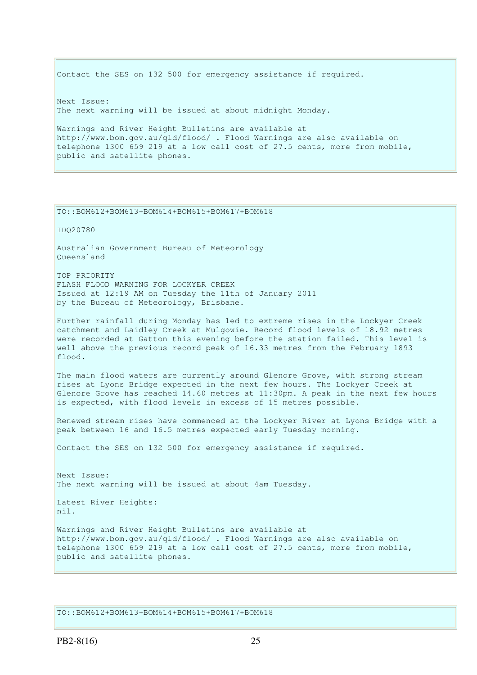Contact the SES on 132 500 for emergency assistance if required. Next Issue: The next warning will be issued at about midnight Monday. Warnings and River Height Bulletins are available at http://www.bom.gov.au/qld/flood/ . Flood Warnings are also available on telephone 1300 659 219 at a low call cost of 27.5 cents, more from mobile,

IDQ20780 Australian Government Bureau of Meteorology Queensland TOP PRIORITY FLASH FLOOD WARNING FOR LOCKYER CREEK Issued at 12:19 AM on Tuesday the 11th of January 2011 by the Bureau of Meteorology, Brisbane. Further rainfall during Monday has led to extreme rises in the Lockyer Creek catchment and Laidley Creek at Mulgowie. Record flood levels of 18.92 metres were recorded at Gatton this evening before the station failed. This level is well above the previous record peak of 16.33 metres from the February 1893 flood. The main flood waters are currently around Glenore Grove, with strong stream rises at Lyons Bridge expected in the next few hours. The Lockyer Creek at Glenore Grove has reached 14.60 metres at 11:30pm. A peak in the next few hours is expected, with flood levels in excess of 15 metres possible.

Renewed stream rises have commenced at the Lockyer River at Lyons Bridge with a peak between 16 and 16.5 metres expected early Tuesday morning.

Contact the SES on 132 500 for emergency assistance if required.

Next Issue: The next warning will be issued at about 4am Tuesday.

Latest River Heights: nil.

public and satellite phones.

TO::BOM612+BOM613+BOM614+BOM615+BOM617+BOM618

Warnings and River Height Bulletins are available at http://www.bom.gov.au/qld/flood/ . Flood Warnings are also available on telephone 1300 659 219 at a low call cost of 27.5 cents, more from mobile, public and satellite phones.

TO::BOM612+BOM613+BOM614+BOM615+BOM617+BOM618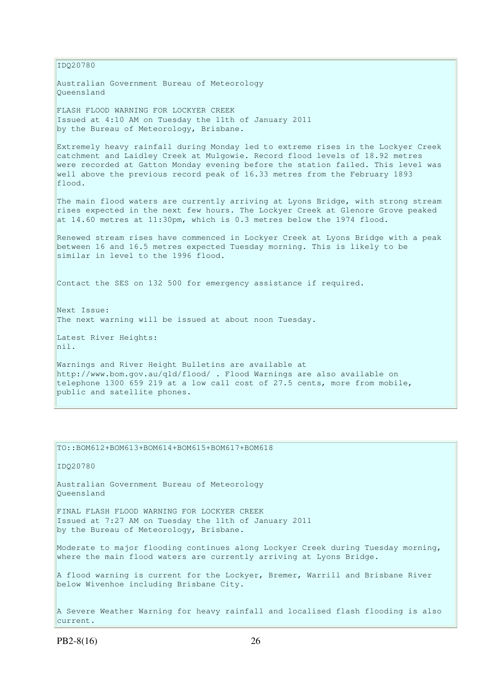IDQ20780 Australian Government Bureau of Meteorology Queensland FLASH FLOOD WARNING FOR LOCKYER CREEK Issued at 4:10 AM on Tuesday the 11th of January 2011 by the Bureau of Meteorology, Brisbane. Extremely heavy rainfall during Monday led to extreme rises in the Lockyer Creek catchment and Laidley Creek at Mulgowie. Record flood levels of 18.92 metres were recorded at Gatton Monday evening before the station failed. This level was well above the previous record peak of 16.33 metres from the February 1893 flood. The main flood waters are currently arriving at Lyons Bridge, with strong stream rises expected in the next few hours. The Lockyer Creek at Glenore Grove peaked at 14.60 metres at 11:30pm, which is 0.3 metres below the 1974 flood. Renewed stream rises have commenced in Lockyer Creek at Lyons Bridge with a peak between 16 and 16.5 metres expected Tuesday morning. This is likely to be similar in level to the 1996 flood. Contact the SES on 132 500 for emergency assistance if required. Next Issue: The next warning will be issued at about noon Tuesday. Latest River Heights: nil. Warnings and River Height Bulletins are available at http://www.bom.gov.au/qld/flood/ . Flood Warnings are also available on telephone 1300 659 219 at a low call cost of 27.5 cents, more from mobile, public and satellite phones.

TO::BOM612+BOM613+BOM614+BOM615+BOM617+BOM618 IDQ20780 Australian Government Bureau of Meteorology Queensland FINAL FLASH FLOOD WARNING FOR LOCKYER CREEK Issued at 7:27 AM on Tuesday the 11th of January 2011 by the Bureau of Meteorology, Brisbane. Moderate to major flooding continues along Lockyer Creek during Tuesday morning, where the main flood waters are currently arriving at Lyons Bridge. A flood warning is current for the Lockyer, Bremer, Warrill and Brisbane River below Wivenhoe including Brisbane City. A Severe Weather Warning for heavy rainfall and localised flash flooding is also current.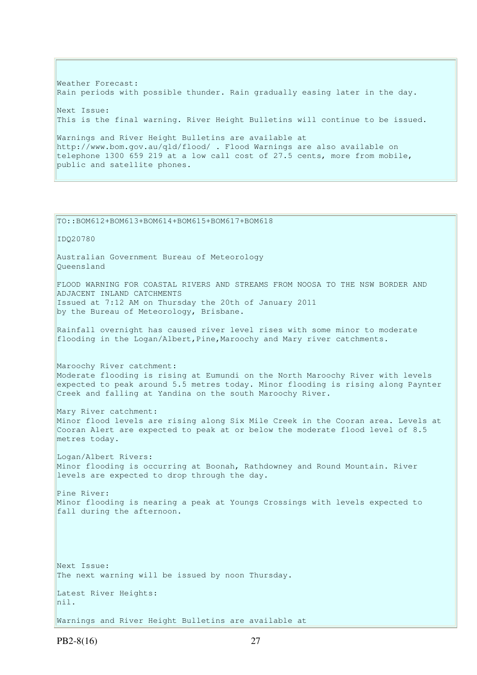Weather Forecast: Rain periods with possible thunder. Rain gradually easing later in the day. Next Issue: This is the final warning. River Height Bulletins will continue to be issued. Warnings and River Height Bulletins are available at http://www.bom.gov.au/qld/flood/ . Flood Warnings are also available on telephone 1300 659 219 at a low call cost of 27.5 cents, more from mobile, public and satellite phones.

TO::BOM612+BOM613+BOM614+BOM615+BOM617+BOM618 IDQ20780 Australian Government Bureau of Meteorology Queensland FLOOD WARNING FOR COASTAL RIVERS AND STREAMS FROM NOOSA TO THE NSW BORDER AND ADJACENT INLAND CATCHMENTS Issued at 7:12 AM on Thursday the 20th of January 2011 by the Bureau of Meteorology, Brisbane. Rainfall overnight has caused river level rises with some minor to moderate flooding in the Logan/Albert,Pine,Maroochy and Mary river catchments. Maroochy River catchment: Moderate flooding is rising at Eumundi on the North Maroochy River with levels expected to peak around 5.5 metres today. Minor flooding is rising along Paynter Creek and falling at Yandina on the south Maroochy River. Mary River catchment: Minor flood levels are rising along Six Mile Creek in the Cooran area. Levels at Cooran Alert are expected to peak at or below the moderate flood level of 8.5 metres today. Logan/Albert Rivers: Minor flooding is occurring at Boonah, Rathdowney and Round Mountain. River levels are expected to drop through the day. Pine River: Minor flooding is nearing a peak at Youngs Crossings with levels expected to fall during the afternoon. Next Issue: The next warning will be issued by noon Thursday. Latest River Heights: nil. Warnings and River Height Bulletins are available at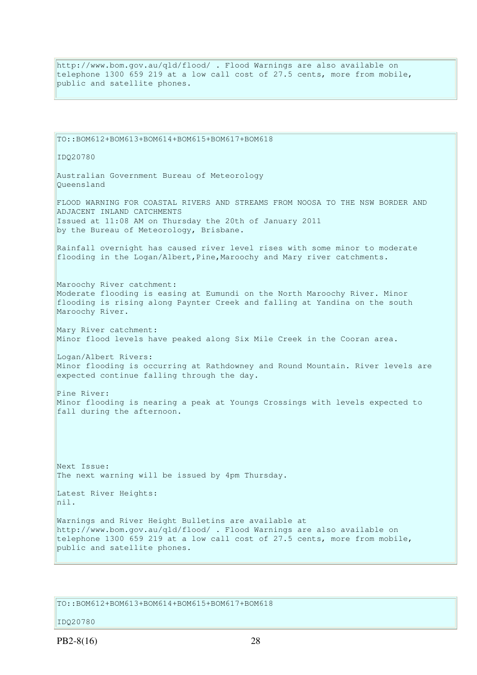http://www.bom.gov.au/qld/flood/ . Flood Warnings are also available on telephone 1300 659 219 at a low call cost of 27.5 cents, more from mobile, public and satellite phones.

TO::BOM612+BOM613+BOM614+BOM615+BOM617+BOM618 IDQ20780 Australian Government Bureau of Meteorology Queensland FLOOD WARNING FOR COASTAL RIVERS AND STREAMS FROM NOOSA TO THE NSW BORDER AND ADJACENT INLAND CATCHMENTS Issued at 11:08 AM on Thursday the 20th of January 2011 by the Bureau of Meteorology, Brisbane. Rainfall overnight has caused river level rises with some minor to moderate flooding in the Logan/Albert,Pine,Maroochy and Mary river catchments. Maroochy River catchment: Moderate flooding is easing at Eumundi on the North Maroochy River. Minor flooding is rising along Paynter Creek and falling at Yandina on the south Maroochy River. Mary River catchment: Minor flood levels have peaked along Six Mile Creek in the Cooran area. Logan/Albert Rivers: Minor flooding is occurring at Rathdowney and Round Mountain. River levels are expected continue falling through the day. Pine River: Minor flooding is nearing a peak at Youngs Crossings with levels expected to fall during the afternoon. Next Issue: The next warning will be issued by 4pm Thursday. Latest River Heights: nil. Warnings and River Height Bulletins are available at http://www.bom.gov.au/qld/flood/ . Flood Warnings are also available on telephone 1300 659 219 at a low call cost of 27.5 cents, more from mobile, public and satellite phones.

TO::BOM612+BOM613+BOM614+BOM615+BOM617+BOM618

## IDQ20780